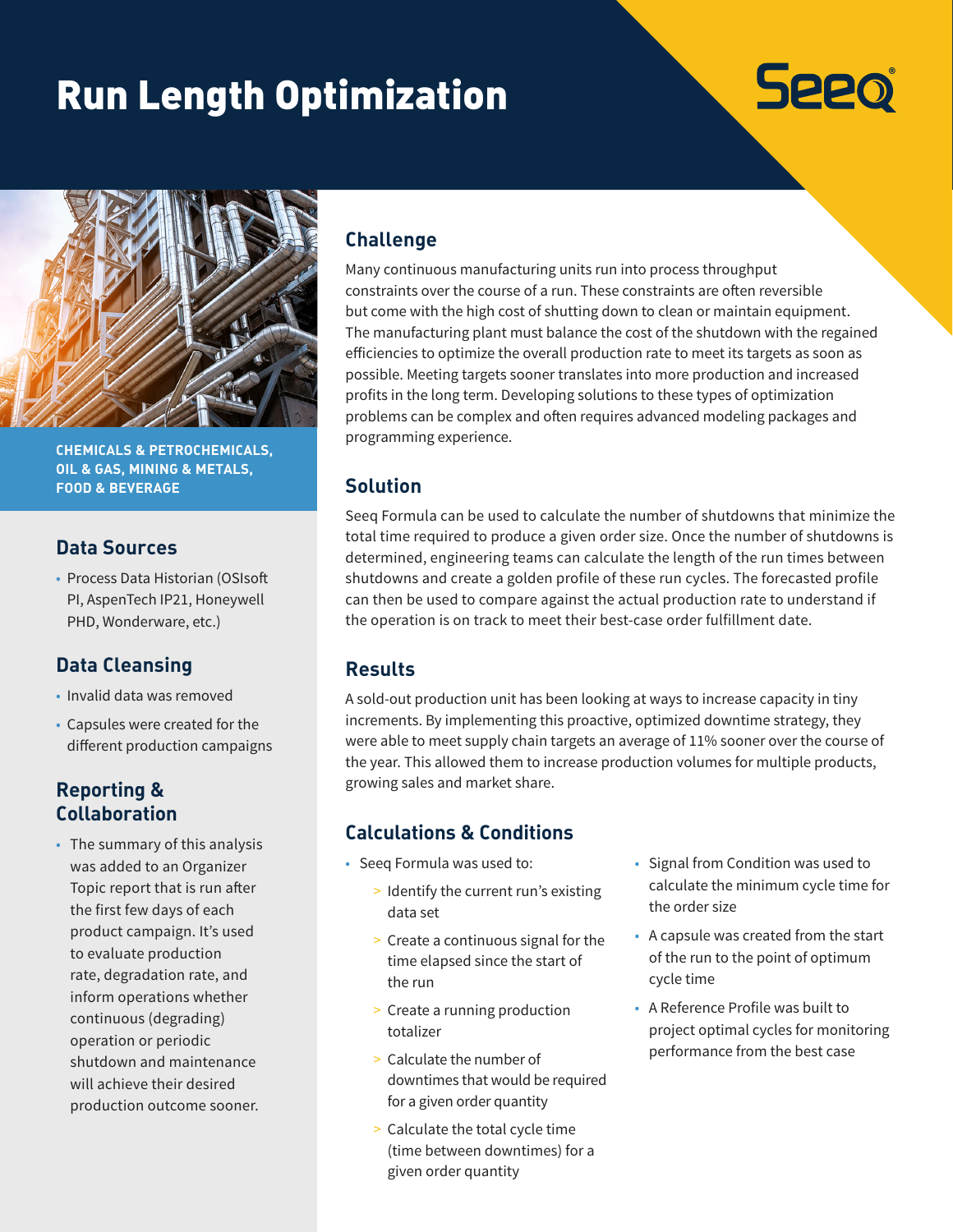# Run Length Optimization





**CHEMICALS & PETROCHEMICALS, OIL & GAS, MINING & METALS, FOOD & BEVERAGE**

#### **Data Sources**

• Process Data Historian (OSIsoft PI, AspenTech IP21, Honeywell PHD, Wonderware, etc.)

# **Data Cleansing**

- Invalid data was removed
- Capsules were created for the different production campaigns

# **Reporting & Collaboration**

• The summary of this analysis was added to an Organizer Topic report that is run after the first few days of each product campaign. It's used to evaluate production rate, degradation rate, and inform operations whether continuous (degrading) operation or periodic shutdown and maintenance will achieve their desired production outcome sooner.

#### **Challenge**

Many continuous manufacturing units run into process throughput constraints over the course of a run. These constraints are often reversible but come with the high cost of shutting down to clean or maintain equipment. The manufacturing plant must balance the cost of the shutdown with the regained efficiencies to optimize the overall production rate to meet its targets as soon as possible. Meeting targets sooner translates into more production and increased profits in the long term. Developing solutions to these types of optimization problems can be complex and often requires advanced modeling packages and programming experience.

# **Solution**

Seeq Formula can be used to calculate the number of shutdowns that minimize the total time required to produce a given order size. Once the number of shutdowns is determined, engineering teams can calculate the length of the run times between shutdowns and create a golden profile of these run cycles. The forecasted profile can then be used to compare against the actual production rate to understand if the operation is on track to meet their best-case order fulfillment date.

# **Results**

A sold-out production unit has been looking at ways to increase capacity in tiny increments. By implementing this proactive, optimized downtime strategy, they were able to meet supply chain targets an average of 11% sooner over the course of the year. This allowed them to increase production volumes for multiple products, growing sales and market share.

# **Calculations & Conditions**

- Seeq Formula was used to:
	- > Identify the current run's existing data set
	- > Create a continuous signal for the time elapsed since the start of the run
	- > Create a running production totalizer
	- > Calculate the number of downtimes that would be required for a given order quantity
	- > Calculate the total cycle time (time between downtimes) for a given order quantity
- Signal from Condition was used to calculate the minimum cycle time for the order size
- A capsule was created from the start of the run to the point of optimum cycle time
- A Reference Profile was built to project optimal cycles for monitoring performance from the best case